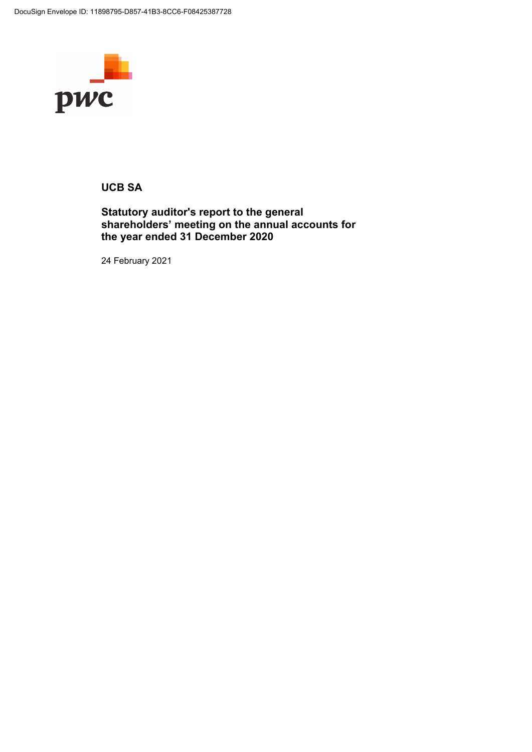

# **UCB SA**

# **Statutory auditor's report to the general shareholders' meeting on the annual accounts for the year ended 31 December 2020**

24 February 2021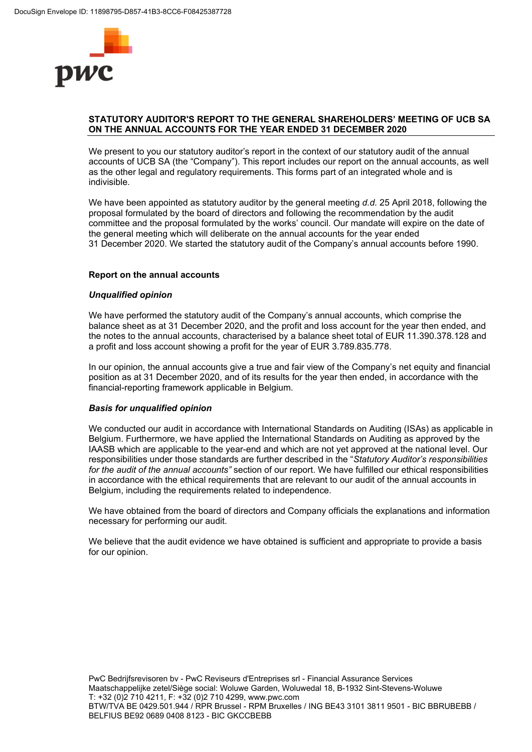

# **STATUTORY AUDITOR'S REPORT TO THE GENERAL SHAREHOLDERS' MEETING OF UCB SA ON THE ANNUAL ACCOUNTS FOR THE YEAR ENDED 31 DECEMBER 2020**

We present to you our statutory auditor's report in the context of our statutory audit of the annual accounts of UCB SA (the "Company"). This report includes our report on the annual accounts, as well as the other legal and regulatory requirements. This forms part of an integrated whole and is indivisible.

We have been appointed as statutory auditor by the general meeting d.d. 25 April 2018, following the proposal formulated by the board of directors and following the recommendation by the audit committee and the proposal formulated by the works' council. Our mandate will expire on the date of the general meeting which will deliberate on the annual accounts for the year ended 31 December 2020. We started the statutory audit of the Company's annual accounts before 1990.

## **Report on the annual accounts**

## *Unqualified opinion*

We have performed the statutory audit of the Company's annual accounts, which comprise the balance sheet as at 31 December 2020, and the profit and loss account for the year then ended, and the notes to the annual accounts, characterised by a balance sheet total of EUR 11.390.378.128 and a profit and loss account showing a profit for the year of EUR 3.789.835.778.

In our opinion, the annual accounts give a true and fair view of the Company's net equity and financial position as at 31 December 2020, and of its results for the year then ended, in accordance with the financial-reporting framework applicable in Belgium.

## *Basis for unqualified opinion*

We conducted our audit in accordance with International Standards on Auditing (ISAs) as applicable in Belgium. Furthermore, we have applied the International Standards on Auditing as approved by the IAASB which are applicable to the year-end and which are not yet approved at the national level. Our responsibilities under those standards are further described in the "*Statutory Auditor's responsibilities for the audit of the annual accounts"* section of our report. We have fulfilled our ethical responsibilities in accordance with the ethical requirements that are relevant to our audit of the annual accounts in Belgium, including the requirements related to independence.

We have obtained from the board of directors and Company officials the explanations and information necessary for performing our audit.

We believe that the audit evidence we have obtained is sufficient and appropriate to provide a basis for our opinion.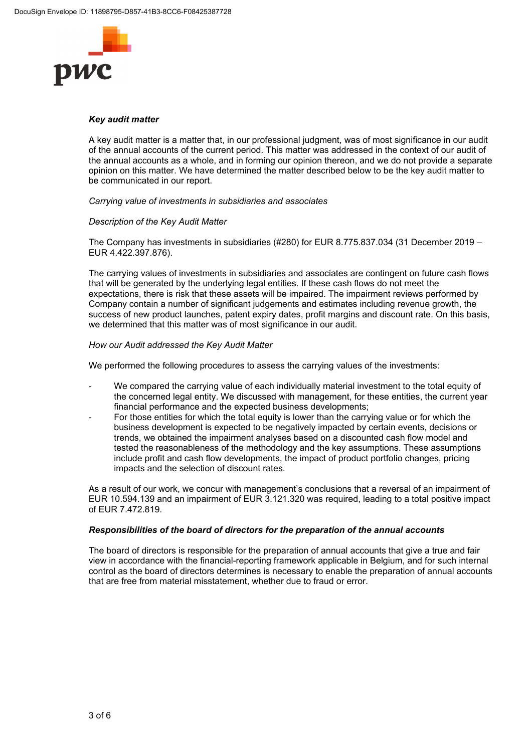

## *Key audit matter*

A key audit matter is a matter that, in our professional judgment, was of most significance in our audit of the annual accounts of the current period. This matter was addressed in the context of our audit of the annual accounts as a whole, and in forming our opinion thereon, and we do not provide a separate opinion on this matter. We have determined the matter described below to be the key audit matter to be communicated in our report.

*Carrying value of investments in subsidiaries and associates* 

## *Description of the Key Audit Matter*

The Company has investments in subsidiaries (#280) for EUR 8.775.837.034 (31 December 2019 – EUR 4.422.397.876).

The carrying values of investments in subsidiaries and associates are contingent on future cash flows that will be generated by the underlying legal entities. If these cash flows do not meet the expectations, there is risk that these assets will be impaired. The impairment reviews performed by Company contain a number of significant judgements and estimates including revenue growth, the success of new product launches, patent expiry dates, profit margins and discount rate. On this basis, we determined that this matter was of most significance in our audit.

## *How our Audit addressed the Key Audit Matter*

We performed the following procedures to assess the carrying values of the investments:

- We compared the carrying value of each individually material investment to the total equity of the concerned legal entity. We discussed with management, for these entities, the current year financial performance and the expected business developments;
- For those entities for which the total equity is lower than the carrying value or for which the business development is expected to be negatively impacted by certain events, decisions or trends, we obtained the impairment analyses based on a discounted cash flow model and tested the reasonableness of the methodology and the key assumptions. These assumptions include profit and cash flow developments, the impact of product portfolio changes, pricing impacts and the selection of discount rates.

As a result of our work, we concur with management's conclusions that a reversal of an impairment of EUR 10.594.139 and an impairment of EUR 3.121.320 was required, leading to a total positive impact of EUR 7.472.819.

## *Responsibilities of the board of directors for the preparation of the annual accounts*

The board of directors is responsible for the preparation of annual accounts that give a true and fair view in accordance with the financial-reporting framework applicable in Belgium, and for such internal control as the board of directors determines is necessary to enable the preparation of annual accounts that are free from material misstatement, whether due to fraud or error.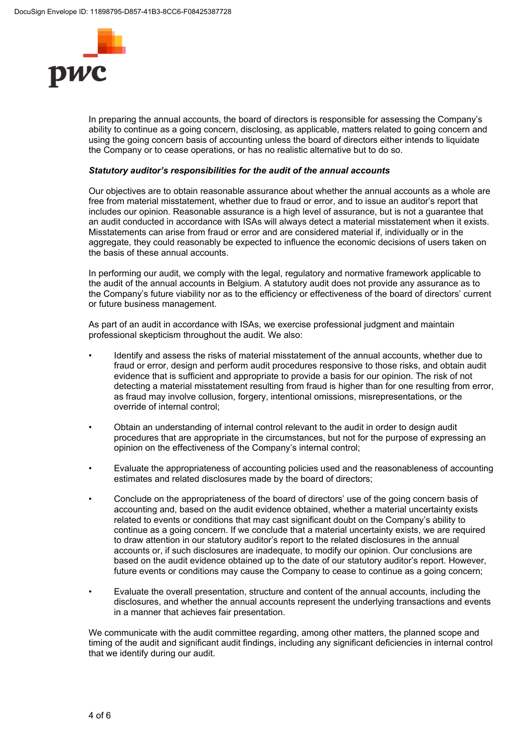

In preparing the annual accounts, the board of directors is responsible for assessing the Company's ability to continue as a going concern, disclosing, as applicable, matters related to going concern and using the going concern basis of accounting unless the board of directors either intends to liquidate the Company or to cease operations, or has no realistic alternative but to do so.

## *Statutory auditor's responsibilities for the audit of the annual accounts*

Our objectives are to obtain reasonable assurance about whether the annual accounts as a whole are free from material misstatement, whether due to fraud or error, and to issue an auditor's report that includes our opinion. Reasonable assurance is a high level of assurance, but is not a guarantee that an audit conducted in accordance with ISAs will always detect a material misstatement when it exists. Misstatements can arise from fraud or error and are considered material if, individually or in the aggregate, they could reasonably be expected to influence the economic decisions of users taken on the basis of these annual accounts.

In performing our audit, we comply with the legal, regulatory and normative framework applicable to the audit of the annual accounts in Belgium. A statutory audit does not provide any assurance as to the Company's future viability nor as to the efficiency or effectiveness of the board of directors' current or future business management.

As part of an audit in accordance with ISAs, we exercise professional judgment and maintain professional skepticism throughout the audit. We also:

- Identify and assess the risks of material misstatement of the annual accounts, whether due to fraud or error, design and perform audit procedures responsive to those risks, and obtain audit evidence that is sufficient and appropriate to provide a basis for our opinion. The risk of not detecting a material misstatement resulting from fraud is higher than for one resulting from error, as fraud may involve collusion, forgery, intentional omissions, misrepresentations, or the override of internal control;
- Obtain an understanding of internal control relevant to the audit in order to design audit procedures that are appropriate in the circumstances, but not for the purpose of expressing an opinion on the effectiveness of the Company's internal control;
- Evaluate the appropriateness of accounting policies used and the reasonableness of accounting estimates and related disclosures made by the board of directors;
- Conclude on the appropriateness of the board of directors' use of the going concern basis of accounting and, based on the audit evidence obtained, whether a material uncertainty exists related to events or conditions that may cast significant doubt on the Company's ability to continue as a going concern. If we conclude that a material uncertainty exists, we are required to draw attention in our statutory auditor's report to the related disclosures in the annual accounts or, if such disclosures are inadequate, to modify our opinion. Our conclusions are based on the audit evidence obtained up to the date of our statutory auditor's report. However, future events or conditions may cause the Company to cease to continue as a going concern;
- Evaluate the overall presentation, structure and content of the annual accounts, including the disclosures, and whether the annual accounts represent the underlying transactions and events in a manner that achieves fair presentation.

We communicate with the audit committee regarding, among other matters, the planned scope and timing of the audit and significant audit findings, including any significant deficiencies in internal control that we identify during our audit.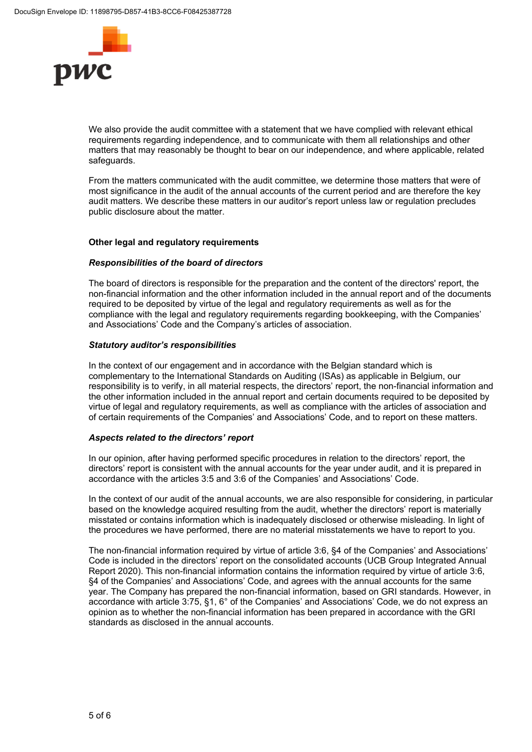

We also provide the audit committee with a statement that we have complied with relevant ethical requirements regarding independence, and to communicate with them all relationships and other matters that may reasonably be thought to bear on our independence, and where applicable, related safeguards.

From the matters communicated with the audit committee, we determine those matters that were of most significance in the audit of the annual accounts of the current period and are therefore the key audit matters. We describe these matters in our auditor's report unless law or regulation precludes public disclosure about the matter.

## **Other legal and regulatory requirements**

## *Responsibilities of the board of directors*

The board of directors is responsible for the preparation and the content of the directors' report, the non-financial information and the other information included in the annual report and of the documents required to be deposited by virtue of the legal and regulatory requirements as well as for the compliance with the legal and regulatory requirements regarding bookkeeping, with the Companies' and Associations' Code and the Company's articles of association.

## *Statutory auditor's responsibilities*

In the context of our engagement and in accordance with the Belgian standard which is complementary to the International Standards on Auditing (ISAs) as applicable in Belgium, our responsibility is to verify, in all material respects, the directors' report, the non-financial information and the other information included in the annual report and certain documents required to be deposited by virtue of legal and regulatory requirements, as well as compliance with the articles of association and of certain requirements of the Companies' and Associations' Code, and to report on these matters.

## *Aspects related to the directors' report*

In our opinion, after having performed specific procedures in relation to the directors' report, the directors' report is consistent with the annual accounts for the year under audit, and it is prepared in accordance with the articles 3:5 and 3:6 of the Companies' and Associations' Code.

In the context of our audit of the annual accounts, we are also responsible for considering, in particular based on the knowledge acquired resulting from the audit, whether the directors' report is materially misstated or contains information which is inadequately disclosed or otherwise misleading. In light of the procedures we have performed, there are no material misstatements we have to report to you.

The non-financial information required by virtue of article 3:6, §4 of the Companies' and Associations' Code is included in the directors' report on the consolidated accounts (UCB Group Integrated Annual Report 2020). This non-financial information contains the information required by virtue of article 3:6, §4 of the Companies' and Associations' Code, and agrees with the annual accounts for the same year. The Company has prepared the non-financial information, based on GRI standards. However, in accordance with article 3:75, §1, 6° of the Companies' and Associations' Code, we do not express an opinion as to whether the non-financial information has been prepared in accordance with the GRI standards as disclosed in the annual accounts.